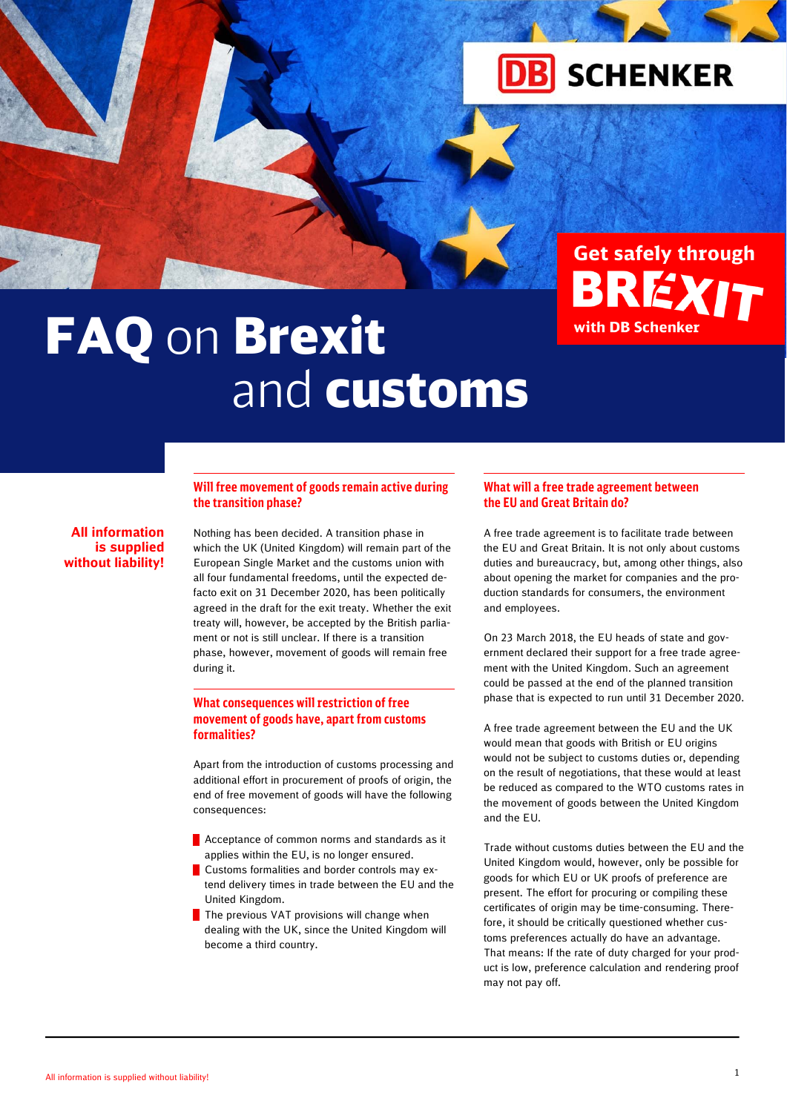



# L and the contract of the contract of the contract of the contract of the contract of the contract of the contract of the contract of the contract of the contract of the contract of the contract of the contract of the contra **FAQ on Brexit** and customs

**All information is supplied without liability!**

# **Will free movement of goods remain active during the transition phase?**

Nothing has been decided. A transition phase in which the UK (United Kingdom) will remain part of the European Single Market and the customs union with all four fundamental freedoms, until the expected defacto exit on 31 December 2020, has been politically agreed in the draft for the exit treaty. Whether the exit treaty will, however, be accepted by the British parliament or not is still unclear. If there is a transition phase, however, movement of goods will remain free during it.

# **What consequences will restriction of free movement of goods have, apart from customs formalities?**

Apart from the introduction of customs processing and additional effort in procurement of proofs of origin, the end of free movement of goods will have the following consequences:

- **Acceptance of common norms and standards as it** applies within the EU, is no longer ensured.
- **Customs formalities and border controls may ex**tend delivery times in trade between the EU and the United Kingdom.
- The previous VAT provisions will change when dealing with the UK, since the United Kingdom will become a third country.

# **What will a free trade agreement between the EU and Great Britain do?**

A free trade agreement is to facilitate trade between the EU and Great Britain. It is not only about customs duties and bureaucracy, but, among other things, also about opening the market for companies and the production standards for consumers, the environment and employees.

On 23 March 2018, the EU heads of state and government declared their support for a free trade agreement with the United Kingdom. Such an agreement could be passed at the end of the planned transition phase that is expected to run until 31 December 2020.

A free trade agreement between the EU and the UK would mean that goods with British or EU origins would not be subject to customs duties or, depending on the result of negotiations, that these would at least be reduced as compared to the WTO customs rates in the movement of goods between the United Kingdom and the EU.

Trade without customs duties between the EU and the United Kingdom would, however, only be possible for goods for which EU or UK proofs of preference are present. The effort for procuring or compiling these certificates of origin may be time-consuming. Therefore, it should be critically questioned whether customs preferences actually do have an advantage. That means: If the rate of duty charged for your product is low, preference calculation and rendering proof may not pay off.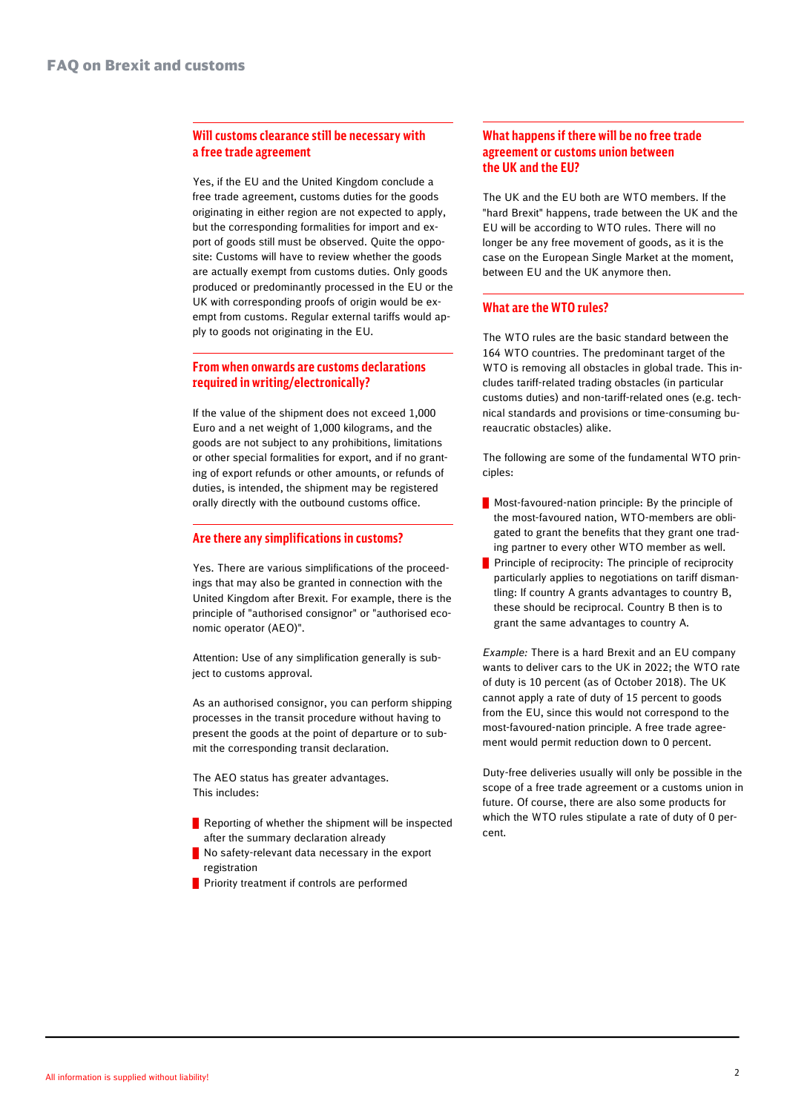<u>and the state of the state of the state of the state of the state of the state of the state of the state of th</u>

## **Will customs clearance still be necessary with a free trade agreement**

Yes, if the EU and the United Kingdom conclude a free trade agreement, customs duties for the goods originating in either region are not expected to apply, but the corresponding formalities for import and export of goods still must be observed. Quite the opposite: Customs will have to review whether the goods are actually exempt from customs duties. Only goods produced or predominantly processed in the EU or the UK with corresponding proofs of origin would be exempt from customs. Regular external tariffs would apply to goods not originating in the EU.

# **From when onwards are customs declarations required in writing/electronically?**

If the value of the shipment does not exceed 1,000 Euro and a net weight of 1,000 kilograms, and the goods are not subject to any prohibitions, limitations or other special formalities for export, and if no granting of export refunds or other amounts, or refunds of duties, is intended, the shipment may be registered orally directly with the outbound customs office.

#### **Are there any simplifications in customs?**

Yes. There are various simplifications of the proceedings that may also be granted in connection with the United Kingdom after Brexit. For example, there is the principle of "authorised consignor" or "authorised economic operator (AEO)".

Attention: Use of any simplification generally is subject to customs approval.

As an authorised consignor, you can perform shipping processes in the transit procedure without having to present the goods at the point of departure or to submit the corresponding transit declaration.

The AEO status has greater advantages. This includes:

- $\blacksquare$  Reporting of whether the shipment will be inspected after the summary declaration already
- No safety-relevant data necessary in the export registration
- **Priority treatment if controls are performed**

# **What happens if there will be no free trade agreement or customs union between the UK and the EU?**

The UK and the EU both are WTO members. If the "hard Brexit" happens, trade between the UK and the EU will be according to WTO rules. There will no longer be any free movement of goods, as it is the case on the European Single Market at the moment, between EU and the UK anymore then.

# **What are the WTO rules?**

The WTO rules are the basic standard between the 164 WTO countries. The predominant target of the WTO is removing all obstacles in global trade. This includes tariff-related trading obstacles (in particular customs duties) and non-tariff-related ones (e.g. technical standards and provisions or time-consuming bureaucratic obstacles) alike.

The following are some of the fundamental WTO principles:

- **Most-favoured-nation principle: By the principle of** the most-favoured nation, WTO-members are obligated to grant the benefits that they grant one trading partner to every other WTO member as well.
- Principle of reciprocity: The principle of reciprocity particularly applies to negotiations on tariff dismantling: If country A grants advantages to country B, these should be reciprocal. Country B then is to grant the same advantages to country A.

*Example:* There is a hard Brexit and an EU company wants to deliver cars to the UK in 2022; the WTO rate of duty is 10 percent (as of October 2018). The UK cannot apply a rate of duty of 15 percent to goods from the EU, since this would not correspond to the most-favoured-nation principle. A free trade agreement would permit reduction down to 0 percent.

Duty-free deliveries usually will only be possible in the scope of a free trade agreement or a customs union in future. Of course, there are also some products for which the WTO rules stipulate a rate of duty of 0 percent.